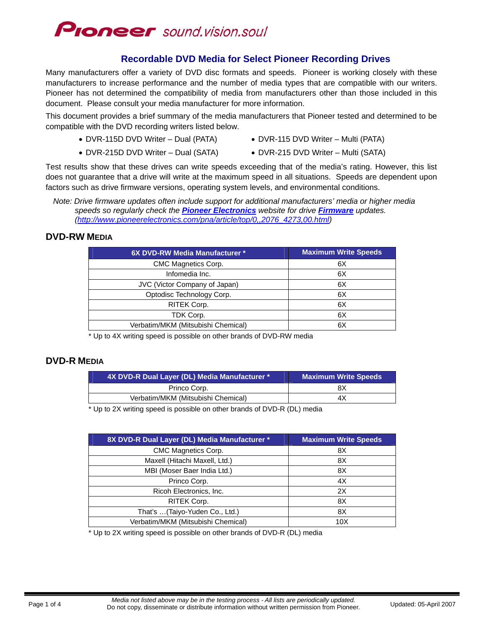

## **Recordable DVD Media for Select Pioneer Recording Drives**

Many manufacturers offer a variety of DVD disc formats and speeds. Pioneer is working closely with these manufacturers to increase performance and the number of media types that are compatible with our writers. Pioneer has not determined the compatibility of media from manufacturers other than those included in this document. Please consult your media manufacturer for more information.

This document provides a brief summary of the media manufacturers that Pioneer tested and determined to be compatible with the DVD recording writers listed below.

- DVR-115D DVD Writer Dual (PATA) DVR-115 DVD Writer Multi (PATA)
- 
- DVR-215D DVD Writer Dual (SATA) DVR-215 DVD Writer Multi (SATA)
- 

Test results show that these drives can write speeds exceeding that of the media's rating. However, this list does not guarantee that a drive will write at the maximum speed in all situations. Speeds are dependent upon factors such as drive firmware versions, operating system levels, and environmental conditions.

### **DVD-RW MEDIA**

| 6X DVD-RW Media Manufacturer *     | <b>Maximum Write Speeds</b> |
|------------------------------------|-----------------------------|
| CMC Magnetics Corp.                | 6X                          |
| Infomedia Inc.                     | 6X                          |
| JVC (Victor Company of Japan)      | 6X                          |
| Optodisc Technology Corp.          | 6X                          |
| RITEK Corp.                        | 6X                          |
| TDK Corp.                          | 6X                          |
| Verbatim/MKM (Mitsubishi Chemical) | 6X                          |

\* Up to 4X writing speed is possible on other brands of DVD-RW media

## **DVD-R MEDIA**

| 4X DVD-R Dual Layer (DL) Media Manufacturer * | <b>Maximum Write Speeds</b> |
|-----------------------------------------------|-----------------------------|
| Princo Corp.                                  | 8Χ                          |
| Verbatim/MKM (Mitsubishi Chemical)            | 4Х                          |

\* Up to 2X writing speed is possible on other brands of DVD-R (DL) media

| 8X DVD-R Dual Layer (DL) Media Manufacturer * | <b>Maximum Write Speeds</b> |
|-----------------------------------------------|-----------------------------|
| <b>CMC Magnetics Corp.</b>                    | 8X                          |
| Maxell (Hitachi Maxell, Ltd.)                 | 8X                          |
| MBI (Moser Baer India Ltd.)                   | 8X                          |
| Princo Corp.                                  | 4X                          |
| Ricoh Electronics, Inc.                       | 2X                          |
| RITEK Corp.                                   | 8X                          |
| That's  (Taiyo-Yuden Co., Ltd.)               | 8X                          |
| Verbatim/MKM (Mitsubishi Chemical)            | 10 <sub>X</sub>             |

\* Up to 2X writing speed is possible on other brands of DVD-R (DL) media

*Note: Drive firmware updates often include support for additional manufacturers' media or higher media speeds so regularly check the [Pioneer Electronics](http://www.pioneerelectronics.com/) website for drive [Firmware](http://www.pioneerelectronics.com/pna/article/top/0,,2076_4273,00.html) updates. ([http://www.pioneerelectronics.com/pna/article/top/0,,2076\\_4273,00.html\)](http://www.pioneerelectronics.com/pna/article/top/0,,2076_4273,00.html)*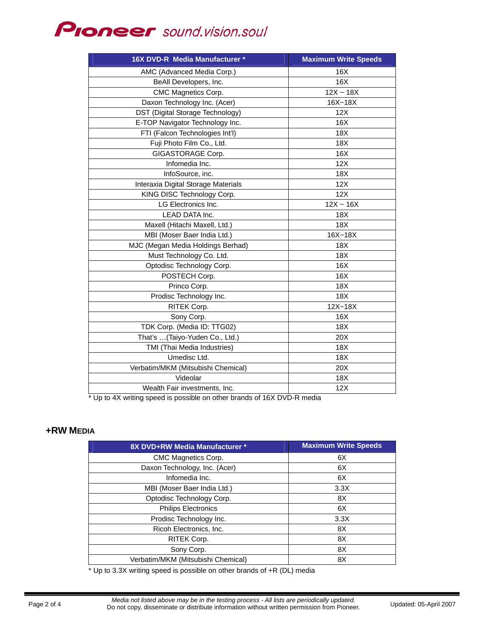# **Ploneer** sound.vision.soul

| 16X DVD-R Media Manufacturer *      | <b>Maximum Write Speeds</b> |
|-------------------------------------|-----------------------------|
| AMC (Advanced Media Corp.)          | 16X                         |
| BeAll Developers, Inc.              | 16X                         |
| CMC Magnetics Corp.                 | $12X - 18X$                 |
| Daxon Technology Inc. (Acer)        | 16X~18X                     |
| DST (Digital Storage Technology)    | 12X                         |
| E-TOP Navigator Technology Inc.     | 16X                         |
| FTI (Falcon Technologies Int'l)     | 18X                         |
| Fuji Photo Film Co., Ltd.           | 18X                         |
| GIGASTORAGE Corp.                   | 16X                         |
| Infomedia Inc.                      | 12X                         |
| InfoSource, inc.                    | 18X                         |
| Interaxia Digital Storage Materials | 12X                         |
| KING DISC Technology Corp.          | 12X                         |
| LG Electronics Inc.                 | $12X - 16X$                 |
| LEAD DATA Inc.                      | 18X                         |
| Maxell (Hitachi Maxell, Ltd.)       | 18X                         |
| MBI (Moser Baer India Ltd.)         | 16X~18X                     |
| MJC (Megan Media Holdings Berhad)   | 18X                         |
| Must Technology Co. Ltd.            | 18X                         |
| Optodisc Technology Corp.           | 16X                         |
| POSTECH Corp.                       | 16X                         |
| Princo Corp.                        | 18X                         |
| Prodisc Technology Inc.             | 18X                         |
| RITEK Corp.                         | $12X - 18X$                 |
| Sony Corp.                          | 16X                         |
| TDK Corp. (Media ID: TTG02)         | 18X                         |
| That's (Taiyo-Yuden Co., Ltd.)      | 20X                         |
| TMI (Thai Media Industries)         | 18X                         |
| Umedisc Ltd.                        | 18X                         |
| Verbatim/MKM (Mitsubishi Chemical)  | 20X                         |
| Videolar                            | 18X                         |
| Wealth Fair investments, Inc.       | 12X                         |

Up to 4X writing speed is possible on other brands of 16X DVD-R media

#### **+RW MEDIA**

| 8X DVD+RW Media Manufacturer *     | <b>Maximum Write Speeds</b> |
|------------------------------------|-----------------------------|
| CMC Magnetics Corp.                | 6X                          |
| Daxon Technology, Inc. (Acer)      | 6X                          |
| Infomedia Inc.                     | 6X                          |
| MBI (Moser Baer India Ltd.)        | 3.3X                        |
| Optodisc Technology Corp.          | 8X                          |
| <b>Philips Electronics</b>         | 6X                          |
| Prodisc Technology Inc.            | 3.3X                        |
| Ricoh Electronics, Inc.            | 8X                          |
| <b>RITEK Corp.</b>                 | 8X                          |
| Sony Corp.                         | 8X                          |
| Verbatim/MKM (Mitsubishi Chemical) | 8X                          |

\* Up to 3.3X writing speed is possible on other brands of +R (DL) media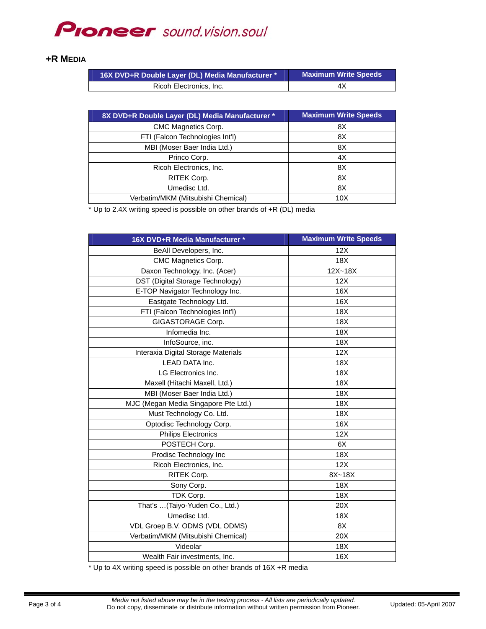## **PIONEEF** sound.vision.soul

#### **+R MEDIA**

| 16X DVD+R Double Layer (DL) Media Manufacturer * | <b>Maximum Write Speeds</b> |
|--------------------------------------------------|-----------------------------|
| Ricoh Electronics, Inc.                          | 4X                          |

| 8X DVD+R Double Layer (DL) Media Manufacturer * | <b>Maximum Write Speeds</b> |
|-------------------------------------------------|-----------------------------|
| CMC Magnetics Corp.                             | 8Χ                          |
| FTI (Falcon Technologies Int'l)                 | 8Χ                          |
| MBI (Moser Baer India Ltd.)                     | 8X                          |
| Princo Corp.                                    | 4X                          |
| Ricoh Electronics, Inc.                         | 8X                          |
| RITEK Corp.                                     | 8Χ                          |
| Umedisc Ltd.                                    | 8X                          |
| Verbatim/MKM (Mitsubishi Chemical)              | 10 <sub>X</sub>             |

\* Up to 2.4X writing speed is possible on other brands of +R (DL) media

| 16X DVD+R Media Manufacturer *       | <b>Maximum Write Speeds</b> |
|--------------------------------------|-----------------------------|
| BeAll Developers, Inc.               | 12X                         |
| CMC Magnetics Corp.                  | 18X                         |
| Daxon Technology, Inc. (Acer)        | $12X - 18X$                 |
| DST (Digital Storage Technology)     | 12X                         |
| E-TOP Navigator Technology Inc.      | 16X                         |
| Eastgate Technology Ltd.             | 16X                         |
| FTI (Falcon Technologies Int'l)      | 18X                         |
| GIGASTORAGE Corp.                    | 18X                         |
| Infomedia Inc.                       | 18X                         |
| InfoSource, inc.                     | 18X                         |
| Interaxia Digital Storage Materials  | 12X                         |
| LEAD DATA Inc.                       | 18X                         |
| LG Electronics Inc.                  | 18X                         |
| Maxell (Hitachi Maxell, Ltd.)        | 18X                         |
| MBI (Moser Baer India Ltd.)          | 18X                         |
| MJC (Megan Media Singapore Pte Ltd.) | 18X                         |
| Must Technology Co. Ltd.             | 18X                         |
| Optodisc Technology Corp.            | 16X                         |
| <b>Philips Electronics</b>           | 12X                         |
| POSTECH Corp.                        | 6X                          |
| Prodisc Technology Inc               | 18X                         |
| Ricoh Electronics, Inc.              | 12X                         |
| RITEK Corp.                          | 8X~18X                      |
| Sony Corp.                           | 18X                         |
| TDK Corp.                            | 18X                         |
| That's  (Taiyo-Yuden Co., Ltd.)      | 20X                         |
| Umedisc Ltd.                         | 18X                         |
| VDL Groep B.V. ODMS (VDL ODMS)       | 8X                          |
| Verbatim/MKM (Mitsubishi Chemical)   | 20X                         |
| Videolar                             | 18X                         |
| Wealth Fair investments, Inc.        | 16X                         |

\* Up to 4X writing speed is possible on other brands of 16X +R media